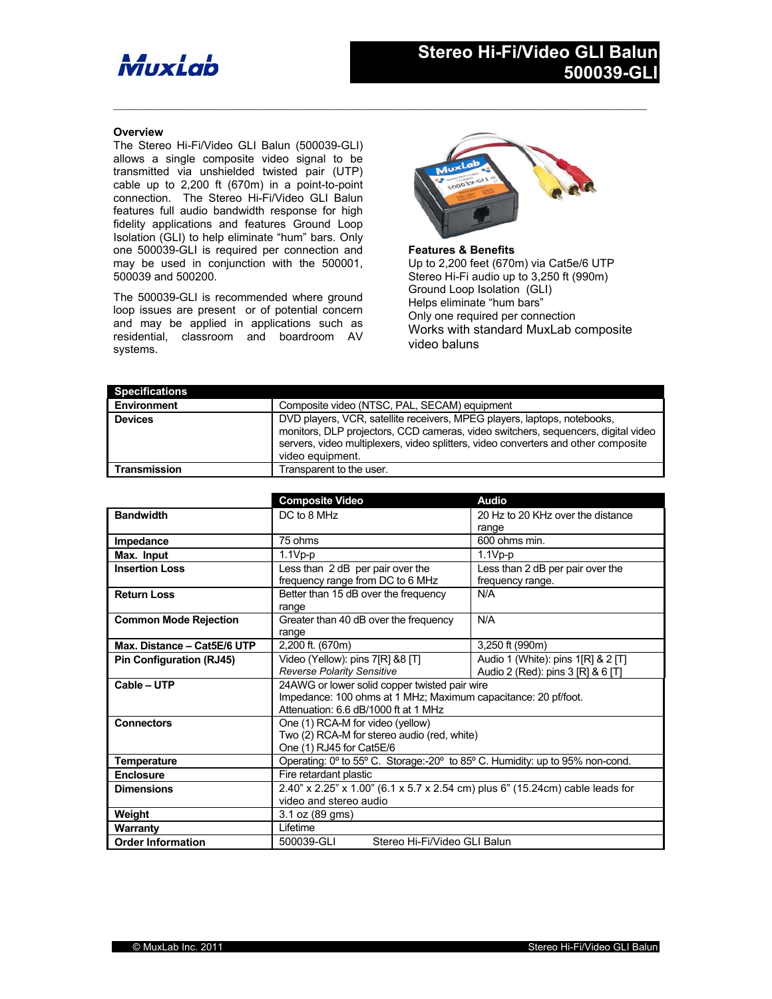## Muxiab

## **Overview**

The Stereo Hi-Fi/Video GLI Balun (500039-GLI) allows a single composite video signal to be transmitted via unshielded twisted pair (UTP) cable up to 2,200 ft (670m) in a point-to-point connection. The Stereo Hi-Fi/Video GLI Balun features full audio bandwidth response for high fidelity applications and features Ground Loop Isolation (GLI) to help eliminate "hum" bars. Only one 500039-GLI is required per connection and may be used in conjunction with the 500001, 500039 and 500200.

The 500039-GLI is recommended where ground loop issues are present or of potential concern and may be applied in applications such as residential, classroom and boardroom AV systems.



**Features & Benefits** Up to 2,200 feet (670m) via Cat5e/6 UTP Stereo Hi-Fi audio up to 3,250 ft (990m) Ground Loop Isolation (GLI) Helps eliminate "hum bars" Only one required per connection Works with standard MuxLab composite video baluns

| <b>Specifications</b> |                                                                                                                                                                                                                                                                         |
|-----------------------|-------------------------------------------------------------------------------------------------------------------------------------------------------------------------------------------------------------------------------------------------------------------------|
| Environment           | Composite video (NTSC, PAL, SECAM) equipment                                                                                                                                                                                                                            |
| <b>Devices</b>        | DVD players, VCR, satellite receivers, MPEG players, laptops, notebooks,<br>monitors, DLP projectors, CCD cameras, video switchers, sequencers, digital video<br>servers, video multiplexers, video splitters, video converters and other composite<br>video equipment. |
| <b>Transmission</b>   | Transparent to the user.                                                                                                                                                                                                                                                |

 $\mathcal{L}_\mathcal{L} = \{ \mathcal{L}_\mathcal{L} = \{ \mathcal{L}_\mathcal{L} = \{ \mathcal{L}_\mathcal{L} = \{ \mathcal{L}_\mathcal{L} = \{ \mathcal{L}_\mathcal{L} = \{ \mathcal{L}_\mathcal{L} = \{ \mathcal{L}_\mathcal{L} = \{ \mathcal{L}_\mathcal{L} = \{ \mathcal{L}_\mathcal{L} = \{ \mathcal{L}_\mathcal{L} = \{ \mathcal{L}_\mathcal{L} = \{ \mathcal{L}_\mathcal{L} = \{ \mathcal{L}_\mathcal{L} = \{ \mathcal{L}_\mathcal{$ 

|                                 | <b>Composite Video</b>                                                        | <b>Audio</b>                       |  |
|---------------------------------|-------------------------------------------------------------------------------|------------------------------------|--|
| <b>Bandwidth</b>                | DC to 8 MHz                                                                   | 20 Hz to 20 KHz over the distance  |  |
|                                 |                                                                               | range                              |  |
| Impedance                       | 75 ohms                                                                       | 600 ohms min.                      |  |
| Max. Input                      | $1.1Vp-p$                                                                     | $1.1Vp-p$                          |  |
| <b>Insertion Loss</b>           | Less than 2 dB per pair over the                                              | Less than 2 dB per pair over the   |  |
|                                 | frequency range from DC to 6 MHz                                              | frequency range.                   |  |
| <b>Return Loss</b>              | Better than 15 dB over the frequency                                          | N/A                                |  |
|                                 | range                                                                         |                                    |  |
| <b>Common Mode Rejection</b>    | Greater than 40 dB over the frequency                                         | N/A                                |  |
|                                 | range                                                                         |                                    |  |
| Max. Distance - Cat5E/6 UTP     | 2,200 ft. (670m)                                                              | 3,250 ft (990m)                    |  |
| <b>Pin Configuration (RJ45)</b> | Video (Yellow): pins 7[R] &8 [T]                                              | Audio 1 (White): pins 1[R] & 2 [T] |  |
|                                 | Reverse Polarity Sensitive                                                    | Audio 2 (Red): pins 3 [R] & 6 [T]  |  |
| Cable - UTP                     | 24AWG or lower solid copper twisted pair wire                                 |                                    |  |
|                                 | Impedance: 100 ohms at 1 MHz; Maximum capacitance: 20 pf/foot.                |                                    |  |
|                                 | Attenuation: 6.6 dB/1000 ft at 1 MHz                                          |                                    |  |
| <b>Connectors</b>               | One (1) RCA-M for video (yellow)                                              |                                    |  |
|                                 | Two (2) RCA-M for stereo audio (red, white)                                   |                                    |  |
|                                 | One (1) RJ45 for Cat5E/6                                                      |                                    |  |
| <b>Temperature</b>              | Operating: 0° to 55° C. Storage:-20° to 85° C. Humidity: up to 95% non-cond.  |                                    |  |
| <b>Enclosure</b>                | Fire retardant plastic                                                        |                                    |  |
| <b>Dimensions</b>               | 2.40" x 2.25" x 1.00" (6.1 x 5.7 x 2.54 cm) plus 6" (15.24cm) cable leads for |                                    |  |
|                                 | video and stereo audio                                                        |                                    |  |
| Weight                          | 3.1 oz (89 gms)                                                               |                                    |  |
| Warranty                        | Lifetime                                                                      |                                    |  |
| <b>Order Information</b>        | Stereo Hi-Fi/Video GLI Balun<br>500039-GLI                                    |                                    |  |